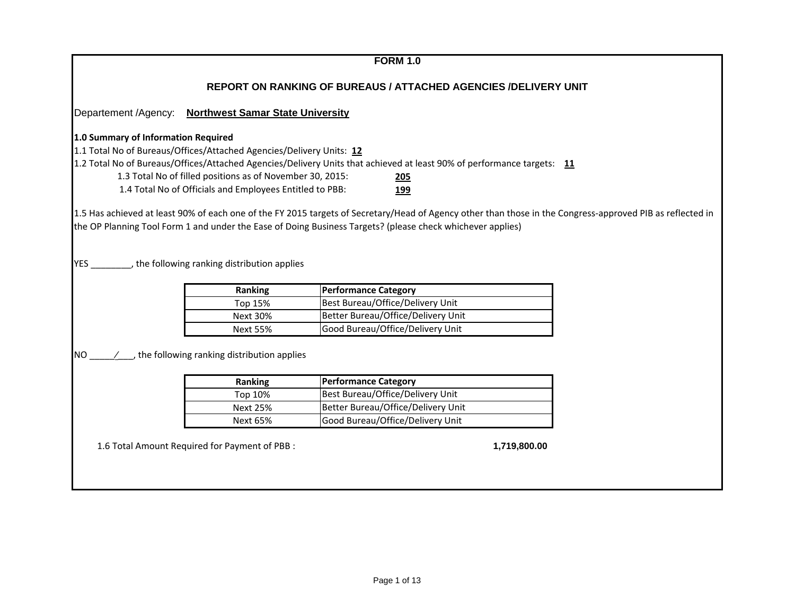| <b>FORM 1.0</b>                                                 |                                                                                                                                                                                               |                                                                                                                                                                                                                                                                          |  |  |  |  |  |  |
|-----------------------------------------------------------------|-----------------------------------------------------------------------------------------------------------------------------------------------------------------------------------------------|--------------------------------------------------------------------------------------------------------------------------------------------------------------------------------------------------------------------------------------------------------------------------|--|--|--|--|--|--|
| REPORT ON RANKING OF BUREAUS / ATTACHED AGENCIES /DELIVERY UNIT |                                                                                                                                                                                               |                                                                                                                                                                                                                                                                          |  |  |  |  |  |  |
| Departement /Agency:                                            | <b>Northwest Samar State University</b>                                                                                                                                                       |                                                                                                                                                                                                                                                                          |  |  |  |  |  |  |
| 1.0 Summary of Information Required                             | 1.1 Total No of Bureaus/Offices/Attached Agencies/Delivery Units: 12<br>1.3 Total No of filled positions as of November 30, 2015:<br>1.4 Total No of Officials and Employees Entitled to PBB: | 1.2 Total No of Bureaus/Offices/Attached Agencies/Delivery Units that achieved at least 90% of performance targets: 11<br>205<br><u>199</u>                                                                                                                              |  |  |  |  |  |  |
|                                                                 |                                                                                                                                                                                               | 1.5 Has achieved at least 90% of each one of the FY 2015 targets of Secretary/Head of Agency other than those in the Congress-approved PIB as reflected in<br>the OP Planning Tool Form 1 and under the Ease of Doing Business Targets? (please check whichever applies) |  |  |  |  |  |  |
|                                                                 |                                                                                                                                                                                               |                                                                                                                                                                                                                                                                          |  |  |  |  |  |  |
|                                                                 | YES _________, the following ranking distribution applies                                                                                                                                     |                                                                                                                                                                                                                                                                          |  |  |  |  |  |  |
|                                                                 | Ranking                                                                                                                                                                                       | <b>Performance Category</b>                                                                                                                                                                                                                                              |  |  |  |  |  |  |
|                                                                 | Top 15%                                                                                                                                                                                       | Best Bureau/Office/Delivery Unit                                                                                                                                                                                                                                         |  |  |  |  |  |  |
|                                                                 | <b>Next 30%</b>                                                                                                                                                                               | Better Bureau/Office/Delivery Unit                                                                                                                                                                                                                                       |  |  |  |  |  |  |
|                                                                 | <b>Next 55%</b>                                                                                                                                                                               | Good Bureau/Office/Delivery Unit                                                                                                                                                                                                                                         |  |  |  |  |  |  |
|                                                                 | $NO \t /$ , the following ranking distribution applies                                                                                                                                        |                                                                                                                                                                                                                                                                          |  |  |  |  |  |  |
|                                                                 | <b>Ranking</b>                                                                                                                                                                                | <b>Performance Category</b>                                                                                                                                                                                                                                              |  |  |  |  |  |  |
|                                                                 | Top 10%                                                                                                                                                                                       | Best Bureau/Office/Delivery Unit                                                                                                                                                                                                                                         |  |  |  |  |  |  |
|                                                                 | <b>Next 25%</b>                                                                                                                                                                               | Better Bureau/Office/Delivery Unit                                                                                                                                                                                                                                       |  |  |  |  |  |  |
|                                                                 | Good Bureau/Office/Delivery Unit<br><b>Next 65%</b>                                                                                                                                           |                                                                                                                                                                                                                                                                          |  |  |  |  |  |  |
|                                                                 | 1.6 Total Amount Required for Payment of PBB :                                                                                                                                                | 1,719,800.00                                                                                                                                                                                                                                                             |  |  |  |  |  |  |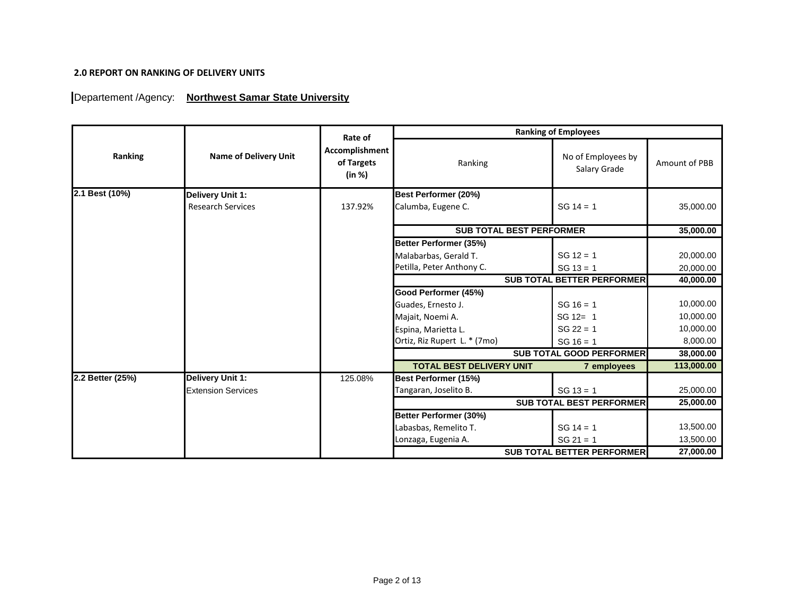## **2.0 REPORT ON RANKING OF DELIVERY UNITS**

## Departement / Agency: Northwest Samar State University

|                  |                              | Rate of                                |                                   | <b>Ranking of Employees</b>        |               |
|------------------|------------------------------|----------------------------------------|-----------------------------------|------------------------------------|---------------|
| Ranking          | <b>Name of Delivery Unit</b> | Accomplishment<br>of Targets<br>(in %) | Ranking                           | No of Employees by<br>Salary Grade | Amount of PBB |
| 2.1 Best (10%)   | Delivery Unit 1:             |                                        | Best Performer (20%)              |                                    |               |
|                  | <b>Research Services</b>     | 137.92%                                | Calumba, Eugene C.                | $SG 14 = 1$                        | 35,000.00     |
|                  |                              |                                        | <b>SUB TOTAL BEST PERFORMER</b>   |                                    | 35,000.00     |
|                  |                              |                                        | Better Performer (35%)            |                                    |               |
|                  |                              |                                        | Malabarbas, Gerald T.             | $SG 12 = 1$                        | 20,000.00     |
|                  |                              |                                        | Petilla, Peter Anthony C.         | $SG 13 = 1$                        | 20,000.00     |
|                  |                              |                                        | <b>SUB TOTAL BETTER PERFORMER</b> | 40,000.00                          |               |
|                  |                              |                                        | Good Performer (45%)              |                                    |               |
|                  |                              |                                        | Guades, Ernesto J.                | $SG 16 = 1$                        | 10,000.00     |
|                  |                              |                                        | Majait, Noemi A.                  | SG 12= 1                           | 10,000.00     |
|                  |                              |                                        | Espina, Marietta L.               | $SG 22 = 1$                        | 10,000.00     |
|                  |                              |                                        | Ortiz, Riz Rupert L. * (7mo)      | $SG 16 = 1$                        | 8,000.00      |
|                  |                              |                                        |                                   | <b>SUB TOTAL GOOD PERFORMER</b>    | 38,000.00     |
|                  |                              |                                        | <b>TOTAL BEST DELIVERY UNIT</b>   | 7 employees                        | 113,000.00    |
| 2.2 Better (25%) | Delivery Unit 1:             | 125.08%                                | <b>Best Performer (15%)</b>       |                                    |               |
|                  | <b>Extension Services</b>    |                                        | Tangaran, Joselito B.             | $SG 13 = 1$                        | 25,000.00     |
|                  |                              |                                        |                                   | <b>SUB TOTAL BEST PERFORMER</b>    | 25,000.00     |
|                  |                              |                                        | Better Performer (30%)            |                                    |               |
|                  |                              |                                        | Labasbas, Remelito T.             | $SG 14 = 1$                        | 13,500.00     |
|                  |                              |                                        | Lonzaga, Eugenia A.               | $SG 21 = 1$                        | 13,500.00     |
|                  |                              |                                        |                                   | <b>SUB TOTAL BETTER PERFORMER</b>  | 27,000.00     |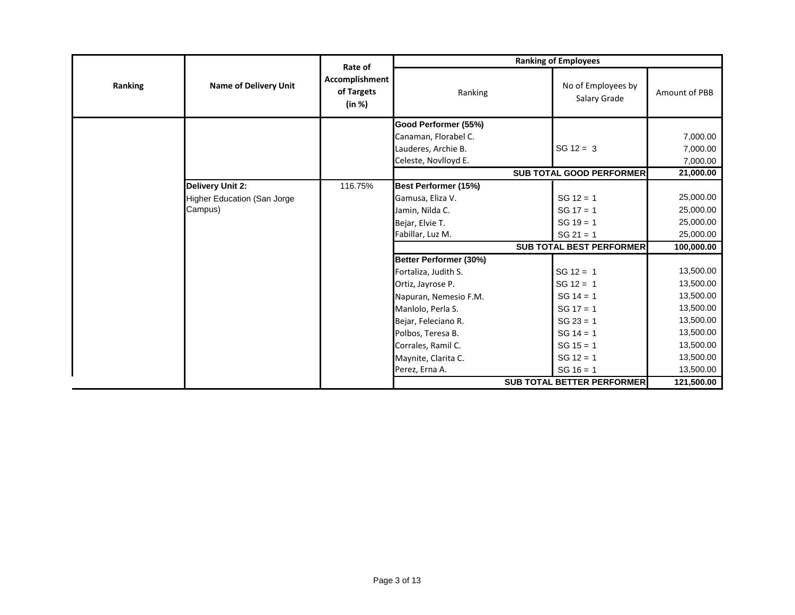|         | <b>Name of Delivery Unit</b>       | Rate of<br>Accomplishment<br>of Targets<br>(in %) | <b>Ranking of Employees</b> |                                    |               |  |
|---------|------------------------------------|---------------------------------------------------|-----------------------------|------------------------------------|---------------|--|
| Ranking |                                    |                                                   | Ranking                     | No of Employees by<br>Salary Grade | Amount of PBB |  |
|         |                                    |                                                   | Good Performer (55%)        |                                    |               |  |
|         |                                    |                                                   | Canaman, Florabel C.        |                                    | 7,000.00      |  |
|         |                                    |                                                   | Lauderes, Archie B.         | $SG 12 = 3$                        | 7,000.00      |  |
|         |                                    |                                                   | Celeste, Novlloyd E.        |                                    | 7,000.00      |  |
|         |                                    |                                                   |                             | <b>SUB TOTAL GOOD PERFORMER</b>    | 21,000.00     |  |
|         | <b>Delivery Unit 2:</b>            | 116.75%                                           | Best Performer (15%)        |                                    |               |  |
|         | <b>Higher Education (San Jorge</b> |                                                   | Gamusa, Eliza V.            | $SG 12 = 1$                        | 25,000.00     |  |
|         | Campus)                            |                                                   | Jamin, Nilda C.             | $SG 17 = 1$                        | 25,000.00     |  |
|         |                                    |                                                   | Bejar, Elvie T.             | $SG 19 = 1$                        | 25,000.00     |  |
|         |                                    |                                                   | Fabillar, Luz M.            | $SG 21 = 1$                        | 25,000.00     |  |
|         |                                    |                                                   |                             | <b>SUB TOTAL BEST PERFORMER</b>    | 100,000.00    |  |
|         |                                    |                                                   | Better Performer (30%)      |                                    |               |  |
|         |                                    |                                                   | Fortaliza, Judith S.        | $SG 12 = 1$                        | 13,500.00     |  |
|         |                                    |                                                   | Ortiz, Jayrose P.           | $SG 12 = 1$                        | 13,500.00     |  |
|         |                                    |                                                   | Napuran, Nemesio F.M.       | $SG 14 = 1$                        | 13,500.00     |  |
|         |                                    |                                                   | Manlolo, Perla S.           | $SG 17 = 1$                        | 13,500.00     |  |
|         |                                    |                                                   | Bejar, Feleciano R.         | $SG 23 = 1$                        | 13,500.00     |  |
|         |                                    |                                                   | Polbos, Teresa B.           | $SG 14 = 1$                        | 13,500.00     |  |
|         |                                    |                                                   | Corrales, Ramil C.          | $SG 15 = 1$                        | 13,500.00     |  |
|         |                                    |                                                   | Maynite, Clarita C.         | $SG 12 = 1$                        | 13,500.00     |  |
|         |                                    |                                                   | Perez, Erna A.              | $SG 16 = 1$                        | 13,500.00     |  |
|         |                                    |                                                   |                             | SUB TOTAL BETTER PERFORMER         | 121,500.00    |  |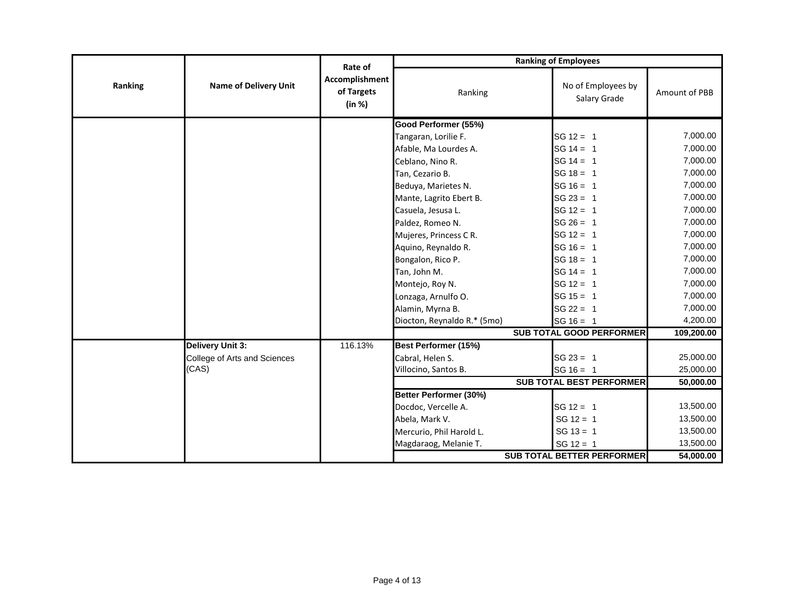|         |                              | Rate of                                |                             | <b>Ranking of Employees</b>        |                        |
|---------|------------------------------|----------------------------------------|-----------------------------|------------------------------------|------------------------|
| Ranking | <b>Name of Delivery Unit</b> | Accomplishment<br>of Targets<br>(in %) | Ranking                     | No of Employees by<br>Salary Grade | Amount of PBB          |
|         |                              |                                        | Good Performer (55%)        |                                    |                        |
|         |                              |                                        | Tangaran, Lorilie F.        | $SG 12 = 1$                        | 7,000.00               |
|         |                              |                                        | Afable, Ma Lourdes A.       | $SG 14 = 1$                        | 7,000.00               |
|         |                              |                                        | Ceblano, Nino R.            | $SG 14 = 1$                        | 7,000.00               |
|         |                              |                                        | Tan, Cezario B.             | $SG 18 = 1$                        | 7,000.00               |
|         |                              |                                        | Beduya, Marietes N.         | $SG 16 = 1$                        | 7,000.00               |
|         |                              |                                        | Mante, Lagrito Ebert B.     | $SG 23 = 1$                        | 7,000.00               |
|         |                              |                                        | Casuela, Jesusa L.          | $SG 12 = 1$                        | 7,000.00               |
|         |                              |                                        | Paldez, Romeo N.            | $SG 26 = 1$                        | 7,000.00               |
|         |                              |                                        | Mujeres, Princess C R.      | $SG 12 = 1$                        | 7,000.00               |
|         |                              |                                        | Aquino, Reynaldo R.         | $SG 16 = 1$                        | 7,000.00               |
|         |                              |                                        | Bongalon, Rico P.           | $SG 18 = 1$                        | 7,000.00               |
|         |                              |                                        | Tan, John M.                | $SG 14 = 1$                        | 7,000.00               |
|         |                              |                                        | Montejo, Roy N.             | $SG 12 = 1$                        | 7,000.00               |
|         |                              |                                        | Lonzaga, Arnulfo O.         | $SG 15 = 1$                        | 7,000.00               |
|         |                              |                                        | Alamin, Myrna B.            | $SG 22 = 1$                        | 7,000.00               |
|         |                              |                                        | Diocton, Reynaldo R.* (5mo) | $SG 16 = 1$                        | 4,200.00               |
|         |                              |                                        |                             | <b>SUB TOTAL GOOD PERFORMER</b>    | 109,200.00             |
|         | <b>Delivery Unit 3:</b>      | 116.13%                                | Best Performer (15%)        |                                    |                        |
|         | College of Arts and Sciences |                                        | Cabral, Helen S.            | $SG 23 = 1$                        | 25,000.00              |
|         | (CAS)                        |                                        | Villocino, Santos B.        | $SG 16 = 1$                        | 25,000.00              |
|         |                              |                                        |                             | <b>SUB TOTAL BEST PERFORMER</b>    | $\overline{50,000.00}$ |
|         |                              |                                        | Better Performer (30%)      |                                    |                        |
|         |                              |                                        | Docdoc, Vercelle A.         | $SG 12 = 1$                        | 13,500.00              |
|         |                              |                                        | Abela, Mark V.              | $SG 12 = 1$                        | 13,500.00              |
|         |                              |                                        | Mercurio, Phil Harold L.    | $SG 13 = 1$                        | 13,500.00              |
|         |                              |                                        | Magdaraog, Melanie T.       | $SG 12 = 1$                        | 13,500.00              |
|         |                              |                                        |                             | <b>SUB TOTAL BETTER PERFORMER</b>  | 54,000.00              |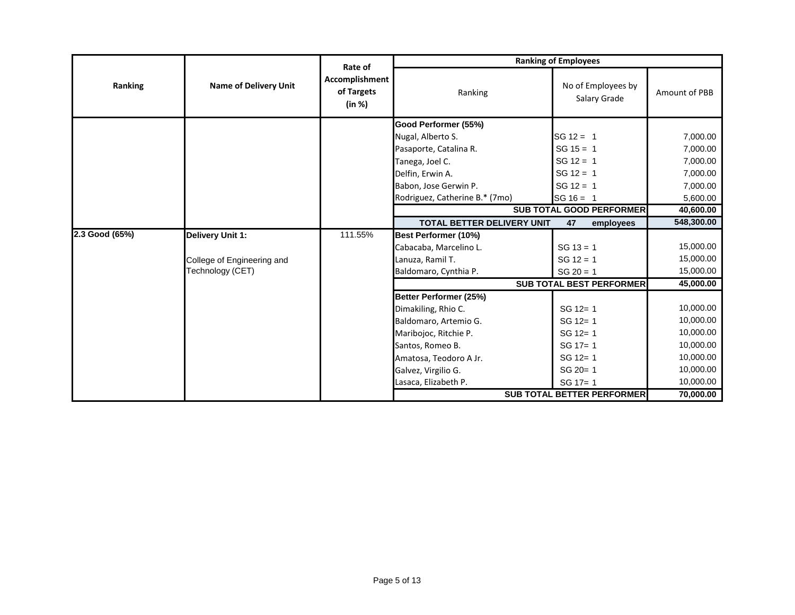|                | <b>Name of Delivery Unit</b>                   | Rate of<br>Accomplishment<br>of Targets<br>(in %) | <b>Ranking of Employees</b>       |                                    |               |  |
|----------------|------------------------------------------------|---------------------------------------------------|-----------------------------------|------------------------------------|---------------|--|
| Ranking        |                                                |                                                   | Ranking                           | No of Employees by<br>Salary Grade | Amount of PBB |  |
|                |                                                |                                                   | Good Performer (55%)              |                                    |               |  |
|                |                                                |                                                   | Nugal, Alberto S.                 | $SG 12 = 1$                        | 7,000.00      |  |
|                |                                                |                                                   | Pasaporte, Catalina R.            | $SG 15 = 1$                        | 7,000.00      |  |
|                |                                                |                                                   | Tanega, Joel C.                   | $SG 12 = 1$                        | 7,000.00      |  |
|                |                                                |                                                   | Delfin, Erwin A.                  | $SG 12 = 1$                        | 7,000.00      |  |
|                |                                                |                                                   | Babon, Jose Gerwin P.             | $SG 12 = 1$                        | 7,000.00      |  |
|                |                                                |                                                   | Rodriguez, Catherine B.* (7mo)    | $SG 16 = 1$                        | 5,600.00      |  |
|                |                                                |                                                   | <b>SUB TOTAL GOOD PERFORMER</b>   |                                    | 40,600.00     |  |
|                |                                                |                                                   | <b>TOTAL BETTER DELIVERY UNIT</b> | 47<br>employees                    | 548,300.00    |  |
| 2.3 Good (65%) | <b>Delivery Unit 1:</b>                        | 111.55%                                           | Best Performer (10%)              |                                    |               |  |
|                | College of Engineering and<br>Technology (CET) |                                                   | Cabacaba, Marcelino L.            | $SG 13 = 1$                        | 15,000.00     |  |
|                |                                                |                                                   | Lanuza, Ramil T.                  | $SG 12 = 1$                        | 15,000.00     |  |
|                |                                                |                                                   | Baldomaro, Cynthia P.             | $SG 20 = 1$                        | 15,000.00     |  |
|                |                                                |                                                   |                                   | <b>SUB TOTAL BEST PERFORMER</b>    | 45,000.00     |  |
|                |                                                |                                                   | Better Performer (25%)            |                                    |               |  |
|                |                                                |                                                   | Dimakiling, Rhio C.               | SG 12= 1                           | 10,000.00     |  |
|                |                                                |                                                   | Baldomaro, Artemio G.             | $SG 12 = 1$                        | 10,000.00     |  |
|                |                                                |                                                   | Maribojoc, Ritchie P.             | $SG 12 = 1$                        | 10,000.00     |  |
|                |                                                |                                                   | Santos, Romeo B.                  | $SG 17 = 1$                        | 10,000.00     |  |
|                |                                                |                                                   | Amatosa, Teodoro A Jr.            | $SG 12 = 1$                        | 10,000.00     |  |
|                |                                                |                                                   | Galvez, Virgilio G.               | $SG 20 = 1$                        | 10,000.00     |  |
|                |                                                |                                                   | Lasaca, Elizabeth P.              | $SG 17 = 1$                        | 10,000.00     |  |
|                |                                                |                                                   |                                   | <b>SUB TOTAL BETTER PERFORMER</b>  | 70,000.00     |  |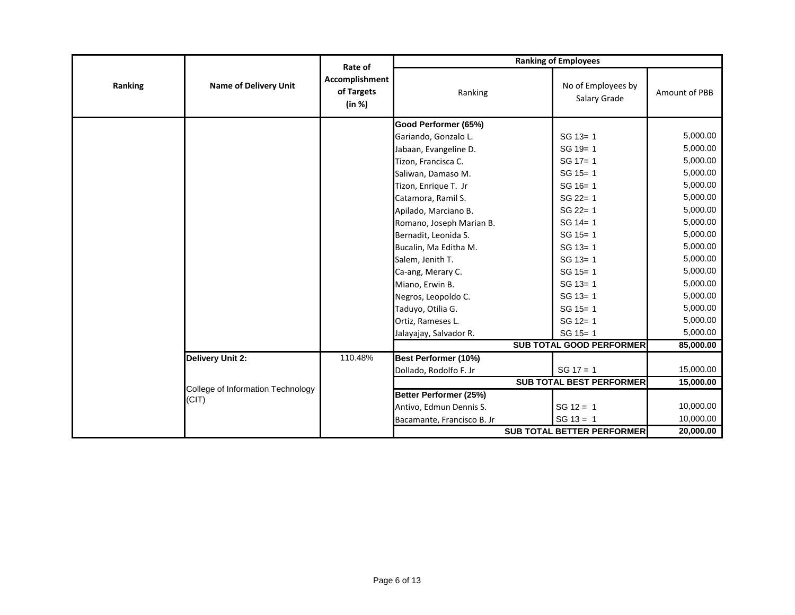|         |                                   | Rate of<br>Accomplishment<br>of Targets<br>(in %) | <b>Ranking of Employees</b> |                                    |               |  |
|---------|-----------------------------------|---------------------------------------------------|-----------------------------|------------------------------------|---------------|--|
| Ranking | <b>Name of Delivery Unit</b>      |                                                   | Ranking                     | No of Employees by<br>Salary Grade | Amount of PBB |  |
|         |                                   |                                                   | Good Performer (65%)        |                                    |               |  |
|         |                                   |                                                   | Gariando, Gonzalo L.        | SG 13= 1                           | 5,000.00      |  |
|         |                                   |                                                   | Jabaan, Evangeline D.       | $SG 19 = 1$                        | 5,000.00      |  |
|         |                                   |                                                   | Tizon, Francisca C.         | SG 17= 1                           | 5,000.00      |  |
|         |                                   |                                                   | Saliwan, Damaso M.          | SG 15=1                            | 5,000.00      |  |
|         |                                   |                                                   | Tizon, Enrique T. Jr        | SG 16=1                            | 5,000.00      |  |
|         |                                   |                                                   | Catamora, Ramil S.          | $SG 22 = 1$                        | 5,000.00      |  |
|         |                                   |                                                   | Apilado, Marciano B.        | SG 22= 1                           | 5,000.00      |  |
|         |                                   |                                                   | Romano, Joseph Marian B.    | SG 14= 1                           | 5,000.00      |  |
|         |                                   |                                                   | Bernadit, Leonida S.        | SG 15=1                            | 5,000.00      |  |
|         |                                   |                                                   | Bucalin, Ma Editha M.       | SG 13= 1                           | 5,000.00      |  |
|         |                                   |                                                   | Salem, Jenith T.            | SG 13= 1                           | 5,000.00      |  |
|         |                                   |                                                   | Ca-ang, Merary C.           | SG 15=1                            | 5,000.00      |  |
|         |                                   |                                                   | Miano, Erwin B.             | $SG 13 = 1$                        | 5,000.00      |  |
|         |                                   |                                                   | Negros, Leopoldo C.         | SG 13= 1                           | 5,000.00      |  |
|         |                                   |                                                   | Taduyo, Otilia G.           | $SG 15 = 1$                        | 5,000.00      |  |
|         |                                   |                                                   | Ortiz, Rameses L.           | SG 12= 1                           | 5,000.00      |  |
|         |                                   |                                                   | Jalayajay, Salvador R.      | SG 15=1                            | 5,000.00      |  |
|         |                                   |                                                   |                             | <b>SUB TOTAL GOOD PERFORMER</b>    | 85,000.00     |  |
|         | Delivery Unit 2:                  | 110.48%                                           | Best Performer (10%)        |                                    |               |  |
|         |                                   |                                                   | Dollado, Rodolfo F. Jr      | $SG 17 = 1$                        | 15,000.00     |  |
|         | College of Information Technology |                                                   |                             | <b>SUB TOTAL BEST PERFORMER</b>    | 15,000.00     |  |
|         | (CIT)                             |                                                   | Better Performer (25%)      |                                    |               |  |
|         |                                   |                                                   | Antivo, Edmun Dennis S.     | $SG 12 = 1$                        | 10,000.00     |  |
|         |                                   |                                                   | Bacamante, Francisco B. Jr  | $SG 13 = 1$                        | 10,000.00     |  |
|         |                                   |                                                   |                             | <b>SUB TOTAL BETTER PERFORMER</b>  | 20,000.00     |  |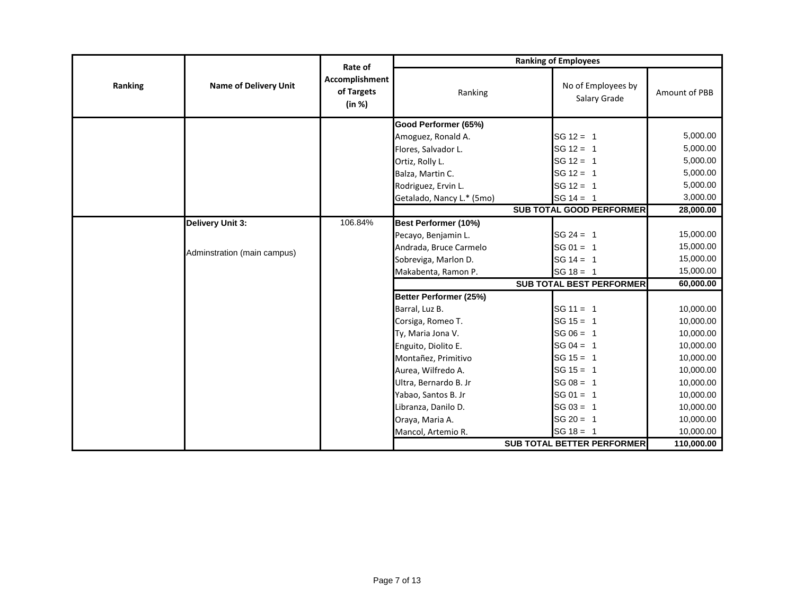|         | <b>Name of Delivery Unit</b> | Rate of<br>Accomplishment<br>of Targets<br>(in %) | <b>Ranking of Employees</b> |                                    |               |  |
|---------|------------------------------|---------------------------------------------------|-----------------------------|------------------------------------|---------------|--|
| Ranking |                              |                                                   | Ranking                     | No of Employees by<br>Salary Grade | Amount of PBB |  |
|         |                              |                                                   | Good Performer (65%)        |                                    |               |  |
|         |                              |                                                   | Amoguez, Ronald A.          | $SG 12 = 1$                        | 5,000.00      |  |
|         |                              |                                                   | Flores, Salvador L.         | $SG 12 = 1$                        | 5,000.00      |  |
|         |                              |                                                   | Ortiz, Rolly L.             | $SG 12 = 1$                        | 5,000.00      |  |
|         |                              |                                                   | Balza, Martin C.            | $SG 12 = 1$                        | 5,000.00      |  |
|         |                              |                                                   | Rodriguez, Ervin L.         | $SG 12 = 1$                        | 5,000.00      |  |
|         |                              |                                                   | Getalado, Nancy L.* (5mo)   | $SG 14 = 1$                        | 3,000.00      |  |
|         |                              |                                                   |                             | <b>SUB TOTAL GOOD PERFORMER</b>    | 28,000.00     |  |
|         | <b>Delivery Unit 3:</b>      | 106.84%                                           | Best Performer (10%)        |                                    |               |  |
|         |                              |                                                   | Pecayo, Benjamin L.         | $SG 24 = 1$                        | 15,000.00     |  |
|         | Adminstration (main campus)  |                                                   | Andrada, Bruce Carmelo      | $SG 01 = 1$                        | 15,000.00     |  |
|         |                              |                                                   | Sobreviga, Marlon D.        | $SG 14 = 1$                        | 15,000.00     |  |
|         |                              |                                                   | Makabenta, Ramon P.         | $SG 18 = 1$                        | 15,000.00     |  |
|         |                              |                                                   |                             | <b>SUB TOTAL BEST PERFORMER</b>    | 60,000.00     |  |
|         |                              |                                                   | Better Performer (25%)      |                                    |               |  |
|         |                              |                                                   | Barral, Luz B.              | $SG 11 = 1$                        | 10,000.00     |  |
|         |                              |                                                   | Corsiga, Romeo T.           | $SG 15 = 1$                        | 10,000.00     |  |
|         |                              |                                                   | Ty, Maria Jona V.           | $SG 06 = 1$                        | 10,000.00     |  |
|         |                              |                                                   | Enguito, Diolito E.         | $SG 04 = 1$                        | 10,000.00     |  |
|         |                              |                                                   | Montañez, Primitivo         | $SG 15 = 1$                        | 10,000.00     |  |
|         |                              |                                                   | Aurea, Wilfredo A.          | $SG 15 = 1$                        | 10,000.00     |  |
|         |                              |                                                   | Ultra, Bernardo B. Jr       | $SG 08 = 1$                        | 10,000.00     |  |
|         |                              |                                                   | Yabao, Santos B. Jr         | $SG 01 = 1$                        | 10,000.00     |  |
|         |                              |                                                   | Libranza, Danilo D.         | $SG 03 = 1$                        | 10,000.00     |  |
|         |                              |                                                   | Oraya, Maria A.             | $SG 20 = 1$                        | 10,000.00     |  |
|         |                              |                                                   | Mancol, Artemio R.          | $SG 18 = 1$                        | 10,000.00     |  |
|         |                              |                                                   |                             | <b>SUB TOTAL BETTER PERFORMER</b>  | 110,000.00    |  |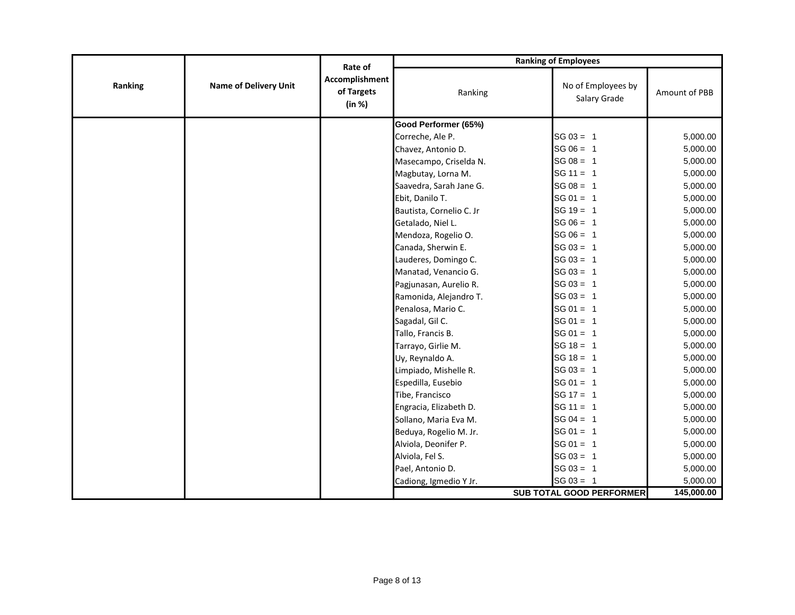|         |                              | Rate of<br>Accomplishment<br>of Targets<br>(in %) | <b>Ranking of Employees</b> |                                    |               |  |
|---------|------------------------------|---------------------------------------------------|-----------------------------|------------------------------------|---------------|--|
| Ranking | <b>Name of Delivery Unit</b> |                                                   | Ranking                     | No of Employees by<br>Salary Grade | Amount of PBB |  |
|         |                              |                                                   | Good Performer (65%)        |                                    |               |  |
|         |                              |                                                   | Correche, Ale P.            | $SG 03 = 1$                        | 5,000.00      |  |
|         |                              |                                                   | Chavez, Antonio D.          | $SG 06 = 1$                        | 5,000.00      |  |
|         |                              |                                                   | Masecampo, Criselda N.      | $SG 08 = 1$                        | 5,000.00      |  |
|         |                              |                                                   | Magbutay, Lorna M.          | $SG 11 = 1$                        | 5,000.00      |  |
|         |                              |                                                   | Saavedra, Sarah Jane G.     | $SG 08 = 1$                        | 5,000.00      |  |
|         |                              |                                                   | Ebit, Danilo T.             | $SG 01 = 1$                        | 5,000.00      |  |
|         |                              |                                                   | Bautista, Cornelio C. Jr    | $SG 19 = 1$                        | 5,000.00      |  |
|         |                              |                                                   | Getalado, Niel L.           | $SG 06 = 1$                        | 5,000.00      |  |
|         |                              |                                                   | Mendoza, Rogelio O.         | $SG 06 = 1$                        | 5,000.00      |  |
|         |                              |                                                   | Canada, Sherwin E.          | $SG 03 = 1$                        | 5,000.00      |  |
|         |                              |                                                   | Lauderes, Domingo C.        | $SG 03 = 1$                        | 5,000.00      |  |
|         |                              |                                                   | Manatad, Venancio G.        | $SG 03 = 1$                        | 5,000.00      |  |
|         |                              |                                                   | Pagjunasan, Aurelio R.      | $SG 03 = 1$                        | 5,000.00      |  |
|         |                              |                                                   | Ramonida, Alejandro T.      | $SG 03 = 1$                        | 5,000.00      |  |
|         |                              |                                                   | Penalosa, Mario C.          | $SG 01 = 1$                        | 5,000.00      |  |
|         |                              |                                                   | Sagadal, Gil C.             | $SG 01 = 1$                        | 5,000.00      |  |
|         |                              |                                                   | Tallo, Francis B.           | $SG 01 = 1$                        | 5,000.00      |  |
|         |                              |                                                   | Tarrayo, Girlie M.          | $SG 18 = 1$                        | 5,000.00      |  |
|         |                              |                                                   | Uy, Reynaldo A.             | $SG 18 = 1$                        | 5,000.00      |  |
|         |                              |                                                   | Limpiado, Mishelle R.       | $SG 03 = 1$                        | 5,000.00      |  |
|         |                              |                                                   | Espedilla, Eusebio          | $SG 01 = 1$                        | 5,000.00      |  |
|         |                              |                                                   | Tibe, Francisco             | $SG 17 = 1$                        | 5,000.00      |  |
|         |                              |                                                   | Engracia, Elizabeth D.      | $SG 11 = 1$                        | 5,000.00      |  |
|         |                              |                                                   | Sollano, Maria Eva M.       | $SG 04 = 1$                        | 5,000.00      |  |
|         |                              |                                                   | Beduya, Rogelio M. Jr.      | $SG 01 = 1$                        | 5,000.00      |  |
|         |                              |                                                   | Alviola, Deonifer P.        | $SG 01 = 1$                        | 5,000.00      |  |
|         |                              |                                                   | Alviola, Fel S.             | $SG 03 = 1$                        | 5,000.00      |  |
|         |                              |                                                   | Pael, Antonio D.            | $SG 03 = 1$                        | 5,000.00      |  |
|         |                              |                                                   | Cadiong, Igmedio Y Jr.      | $SG 03 = 1$                        | 5,000.00      |  |
|         |                              |                                                   |                             | SUB TOTAL GOOD PERFORMER           | 145,000.00    |  |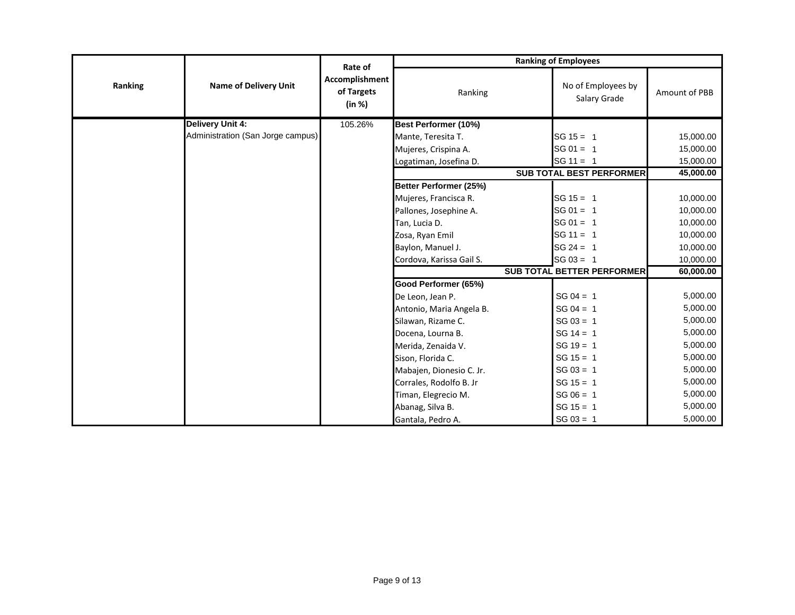|         | <b>Name of Delivery Unit</b>      | Rate of<br>Accomplishment<br>of Targets<br>(in %) | <b>Ranking of Employees</b> |                                    |               |  |
|---------|-----------------------------------|---------------------------------------------------|-----------------------------|------------------------------------|---------------|--|
| Ranking |                                   |                                                   | Ranking                     | No of Employees by<br>Salary Grade | Amount of PBB |  |
|         | <b>Delivery Unit 4:</b>           | 105.26%                                           | Best Performer (10%)        |                                    |               |  |
|         | Administration (San Jorge campus) |                                                   | Mante, Teresita T.          | $SG 15 = 1$                        | 15,000.00     |  |
|         |                                   |                                                   | Mujeres, Crispina A.        | $SG 01 = 1$                        | 15,000.00     |  |
|         |                                   |                                                   | Logatiman, Josefina D.      | $SG 11 = 1$                        | 15,000.00     |  |
|         |                                   |                                                   |                             | <b>SUB TOTAL BEST PERFORMER</b>    | 45,000.00     |  |
|         |                                   |                                                   | Better Performer (25%)      |                                    |               |  |
|         |                                   |                                                   | Mujeres, Francisca R.       | $SG 15 = 1$                        | 10,000.00     |  |
|         |                                   |                                                   | Pallones, Josephine A.      | $SG 01 = 1$                        | 10,000.00     |  |
|         |                                   |                                                   | Tan, Lucia D.               | $SG 01 = 1$                        | 10,000.00     |  |
|         |                                   |                                                   | Zosa, Ryan Emil             | $SG 11 = 1$                        | 10,000.00     |  |
|         |                                   |                                                   | Baylon, Manuel J.           | $SG 24 = 1$                        | 10,000.00     |  |
|         |                                   |                                                   | Cordova, Karissa Gail S.    | $SG 03 = 1$                        | 10,000.00     |  |
|         |                                   |                                                   |                             | <b>SUB TOTAL BETTER PERFORMER</b>  | 60,000.00     |  |
|         |                                   |                                                   | Good Performer (65%)        |                                    |               |  |
|         |                                   |                                                   | De Leon, Jean P.            | $SG 04 = 1$                        | 5,000.00      |  |
|         |                                   |                                                   | Antonio, Maria Angela B.    | $SG 04 = 1$                        | 5,000.00      |  |
|         |                                   |                                                   | Silawan, Rizame C.          | $SG 03 = 1$                        | 5,000.00      |  |
|         |                                   |                                                   | Docena, Lourna B.           | $SG 14 = 1$                        | 5,000.00      |  |
|         |                                   |                                                   | Merida, Zenaida V.          | $SG 19 = 1$                        | 5,000.00      |  |
|         |                                   |                                                   | Sison, Florida C.           | $SG 15 = 1$                        | 5,000.00      |  |
|         |                                   |                                                   | Mabajen, Dionesio C. Jr.    | $SG 03 = 1$                        | 5,000.00      |  |
|         |                                   |                                                   | Corrales, Rodolfo B. Jr     | $SG 15 = 1$                        | 5,000.00      |  |
|         |                                   |                                                   | Timan, Elegrecio M.         | $SG 06 = 1$                        | 5,000.00      |  |
|         |                                   |                                                   | Abanag, Silva B.            | $SG 15 = 1$                        | 5,000.00      |  |
|         |                                   |                                                   | Gantala, Pedro A.           | $SG 03 = 1$                        | 5,000.00      |  |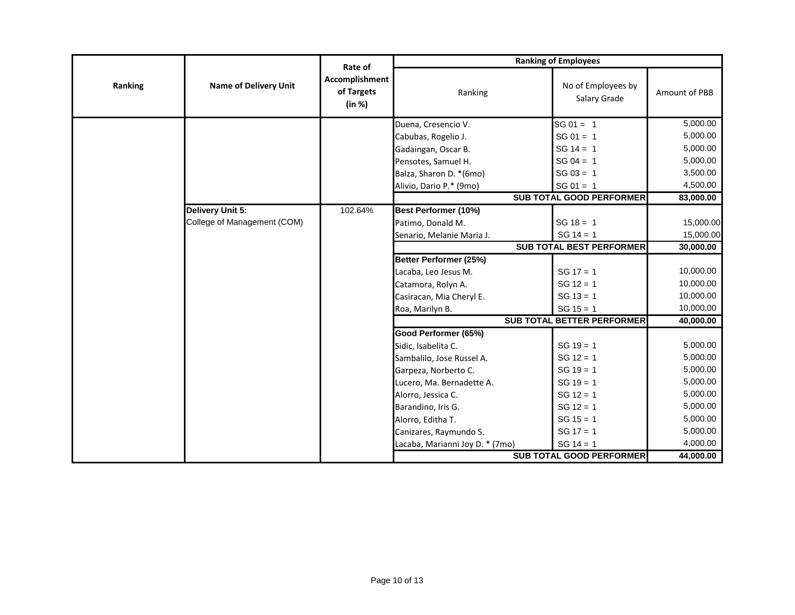|         | <b>Name of Delivery Unit</b> | Rate of<br>Accomplishment<br>of Targets<br>(in %) | <b>Ranking of Employees</b>     |                                    |               |  |
|---------|------------------------------|---------------------------------------------------|---------------------------------|------------------------------------|---------------|--|
| Ranking |                              |                                                   | Ranking                         | No of Employees by<br>Salary Grade | Amount of PBB |  |
|         |                              |                                                   | Duena, Cresencio V.             | $SG 01 = 1$                        | 5,000.00      |  |
|         |                              |                                                   | Cabubas, Rogelio J.             | $SG 01 = 1$                        | 5,000.00      |  |
|         |                              |                                                   | Gadaingan, Oscar B.             | $SG 14 = 1$                        | 5,000.00      |  |
|         |                              |                                                   | Pensotes, Samuel H.             | $SG 04 = 1$                        | 5,000.00      |  |
|         |                              |                                                   | Balza, Sharon D. * (6mo)        | $SG 03 = 1$                        | 3,500.00      |  |
|         |                              |                                                   | Alivio, Dario P.* (9mo)         | $SG 01 = 1$                        | 4,500.00      |  |
|         |                              |                                                   |                                 | <b>SUB TOTAL GOOD PERFORMER</b>    | 83,000.00     |  |
|         | Delivery Unit 5:             | 102.64%                                           | Best Performer (10%)            |                                    |               |  |
|         | College of Management (COM)  |                                                   | Patimo, Donald M.               | $SG 18 = 1$                        | 15,000.00     |  |
|         |                              |                                                   | Senario, Melanie Maria J.       | $SG 14 = 1$                        | 15,000.00     |  |
|         |                              |                                                   |                                 | <b>SUB TOTAL BEST PERFORMER</b>    | 30,000.00     |  |
|         |                              |                                                   | Better Performer (25%)          |                                    |               |  |
|         |                              |                                                   | Lacaba, Leo Jesus M.            | $SG 17 = 1$                        | 10,000.00     |  |
|         |                              |                                                   | Catamora, Rolyn A.              | $SG 12 = 1$                        | 10,000.00     |  |
|         |                              |                                                   | Casiracan, Mia Cheryl E.        | $SG 13 = 1$                        | 10,000.00     |  |
|         |                              |                                                   | Roa, Marilyn B.                 | $SG 15 = 1$                        | 10,000.00     |  |
|         |                              |                                                   |                                 | <b>SUB TOTAL BETTER PERFORMER</b>  | 40,000.00     |  |
|         |                              |                                                   | Good Performer (65%)            |                                    |               |  |
|         |                              |                                                   | Sidic, Isabelita C.             | $SG 19 = 1$                        | 5,000.00      |  |
|         |                              |                                                   | Sambalilo, Jose Russel A.       | $SG 12 = 1$                        | 5,000.00      |  |
|         |                              |                                                   | Garpeza, Norberto C.            | $SG 19 = 1$                        | 5,000.00      |  |
|         |                              |                                                   | Lucero, Ma. Bernadette A.       | $SG 19 = 1$                        | 5,000.00      |  |
|         |                              |                                                   | Alorro, Jessica C.              | $SG 12 = 1$                        | 5,000.00      |  |
|         |                              |                                                   | Barandino, Iris G.              | $SG 12 = 1$                        | 5,000.00      |  |
|         |                              |                                                   | Alorro, Editha T.               | $SG 15 = 1$                        | 5,000.00      |  |
|         |                              |                                                   | Canizares, Raymundo S.          | $SG 17 = 1$                        | 5,000.00      |  |
|         |                              |                                                   | Lacaba, Marianni Joy D. * (7mo) | $SG 14 = 1$                        | 4,000.00      |  |
|         |                              |                                                   |                                 | <b>SUB TOTAL GOOD PERFORMER</b>    | 44,000.00     |  |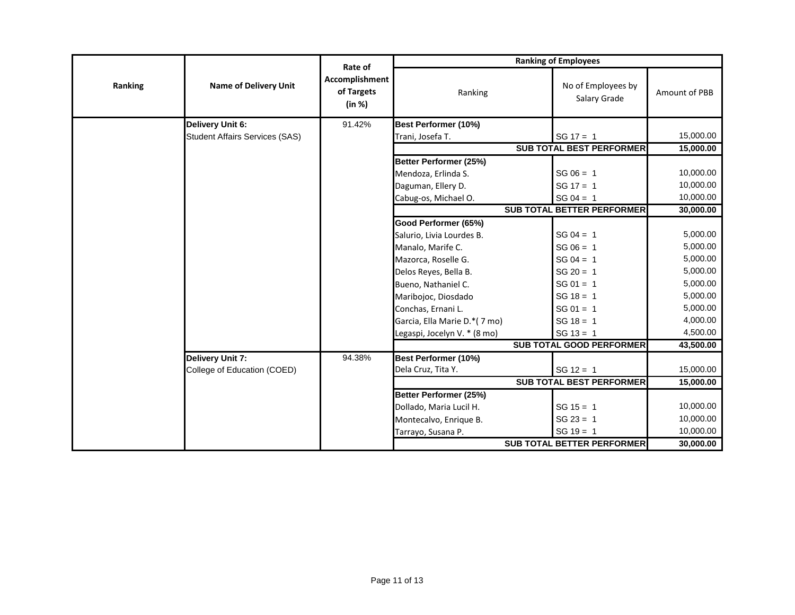|         |                                       | Rate of<br>Accomplishment<br>of Targets<br>(in %) | <b>Ranking of Employees</b>   |                                    |               |  |
|---------|---------------------------------------|---------------------------------------------------|-------------------------------|------------------------------------|---------------|--|
| Ranking | <b>Name of Delivery Unit</b>          |                                                   | Ranking                       | No of Employees by<br>Salary Grade | Amount of PBB |  |
|         | Delivery Unit 6:                      | 91.42%                                            | Best Performer (10%)          |                                    |               |  |
|         | <b>Student Affairs Services (SAS)</b> |                                                   | Trani, Josefa T.              | $SG 17 = 1$                        | 15,000.00     |  |
|         |                                       |                                                   |                               | <b>SUB TOTAL BEST PERFORMER</b>    | 15,000.00     |  |
|         |                                       |                                                   | Better Performer (25%)        |                                    |               |  |
|         |                                       |                                                   | Mendoza, Erlinda S.           | $SG 06 = 1$                        | 10,000.00     |  |
|         |                                       |                                                   | Daguman, Ellery D.            | $SG 17 = 1$                        | 10,000.00     |  |
|         |                                       |                                                   | Cabug-os, Michael O.          | $SG 04 = 1$                        | 10,000.00     |  |
|         |                                       |                                                   |                               | <b>SUB TOTAL BETTER PERFORMER</b>  | 30,000.00     |  |
|         |                                       |                                                   | Good Performer (65%)          |                                    |               |  |
|         |                                       |                                                   | Salurio, Livia Lourdes B.     | $SG 04 = 1$                        | 5,000.00      |  |
|         |                                       |                                                   | Manalo, Marife C.             | $SG 06 = 1$                        | 5,000.00      |  |
|         |                                       |                                                   | Mazorca, Roselle G.           | $SG 04 = 1$                        | 5,000.00      |  |
|         |                                       |                                                   | Delos Reyes, Bella B.         | $SG 20 = 1$                        | 5,000.00      |  |
|         |                                       |                                                   | Bueno, Nathaniel C.           | $SG 01 = 1$                        | 5,000.00      |  |
|         |                                       |                                                   | Maribojoc, Diosdado           | $SG 18 = 1$                        | 5,000.00      |  |
|         |                                       |                                                   | Conchas, Ernani L.            | $SG 01 = 1$                        | 5,000.00      |  |
|         |                                       |                                                   | Garcia, Ella Marie D.* (7 mo) | $SG 18 = 1$                        | 4,000.00      |  |
|         |                                       |                                                   | Legaspi, Jocelyn V. * (8 mo)  | $SG 13 = 1$                        | 4,500.00      |  |
|         |                                       |                                                   |                               | <b>SUB TOTAL GOOD PERFORMER</b>    | 43,500.00     |  |
|         | <b>Delivery Unit 7:</b>               | 94.38%                                            | Best Performer (10%)          |                                    |               |  |
|         | College of Education (COED)           |                                                   | Dela Cruz, Tita Y.            | $SG 12 = 1$                        | 15,000.00     |  |
|         |                                       |                                                   |                               | <b>SUB TOTAL BEST PERFORMER</b>    | 15,000.00     |  |
|         |                                       |                                                   | Better Performer (25%)        |                                    |               |  |
|         |                                       |                                                   | Dollado, Maria Lucil H.       | $SG 15 = 1$                        | 10,000.00     |  |
|         |                                       |                                                   | Montecalvo, Enrique B.        | $SG 23 = 1$                        | 10,000.00     |  |
|         |                                       |                                                   | Tarrayo, Susana P.            | $SG 19 = 1$                        | 10,000.00     |  |
|         |                                       |                                                   |                               | <b>SUB TOTAL BETTER PERFORMER</b>  | 30,000.00     |  |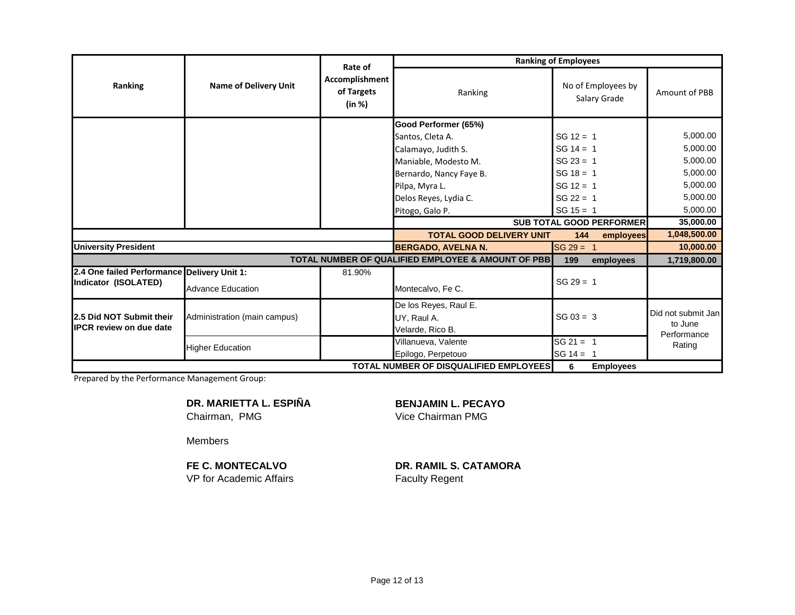|                                             |                              | Rate of                                |                                                    | <b>Ranking of Employees</b> |                                    |                        |
|---------------------------------------------|------------------------------|----------------------------------------|----------------------------------------------------|-----------------------------|------------------------------------|------------------------|
| Ranking                                     | <b>Name of Delivery Unit</b> | Accomplishment<br>of Targets<br>(in %) | Ranking                                            |                             | No of Employees by<br>Salary Grade | Amount of PBB          |
|                                             |                              |                                        | Good Performer (65%)                               |                             |                                    |                        |
|                                             |                              |                                        | Santos, Cleta A.                                   | $SG 12 = 1$                 |                                    | 5,000.00               |
|                                             |                              |                                        | Calamayo, Judith S.                                | $SG 14 = 1$                 |                                    | 5,000.00               |
|                                             |                              |                                        | Maniable, Modesto M.                               | $SG 23 = 1$                 |                                    | 5,000.00               |
|                                             |                              |                                        | Bernardo, Nancy Faye B.                            | $SG 18 = 1$                 |                                    | 5,000.00               |
|                                             |                              |                                        | Pilpa, Myra L.                                     | $SG 12 = 1$                 |                                    | 5,000.00               |
|                                             |                              |                                        | Delos Reyes, Lydia C.                              | $SG 22 = 1$                 |                                    | 5,000.00               |
|                                             |                              |                                        | Pitogo, Galo P.                                    | $SG 15 = 1$                 |                                    | 5,000.00               |
|                                             |                              |                                        |                                                    |                             | SUB TOTAL GOOD PERFORMER           | 35,000.00              |
|                                             |                              |                                        | <b>TOTAL GOOD DELIVERY UNIT</b>                    | 144                         | employees                          | 1,048,500.00           |
| <b>University President</b>                 |                              |                                        | <b>BERGADO, AVELNA N.</b>                          | $SG 29 = 1$                 |                                    | 10,000.00              |
|                                             |                              |                                        | TOTAL NUMBER OF QUALIFIED EMPLOYEE & AMOUNT OF PBB | 199                         | employees                          | 1,719,800.00           |
| 2.4 One failed Performance Delivery Unit 1: |                              | 81.90%                                 |                                                    |                             |                                    |                        |
| Indicator (ISOLATED)                        | <b>Advance Education</b>     |                                        | Montecalvo, Fe C.                                  | $SG 29 = 1$                 |                                    |                        |
|                                             |                              |                                        | De los Reyes, Raul E.                              |                             |                                    |                        |
| 2.5 Did NOT Submit their                    | Administration (main campus) |                                        | UY, Raul A.                                        | $SG 03 = 3$                 |                                    | Did not submit Jan     |
| <b>IIPCR review on due date</b>             |                              |                                        | Velarde, Rico B.                                   |                             |                                    | to June<br>Performance |
|                                             |                              |                                        | Villanueva, Valente                                | $SG 21 = 1$                 |                                    | Rating                 |
|                                             | <b>Higher Education</b>      |                                        | Epilogo, Perpetouo                                 | $SG 14 = 1$                 |                                    |                        |
|                                             |                              |                                        | <b>TOTAL NUMBER OF DISQUALIFIED EMPLOYEES</b>      | 6                           | <b>Employees</b>                   |                        |

Prepared by the Performance Management Group:

## **DR. MARIETTA L. ESPIÑA BENJAMIN L. PECAYO** Chairman, PMG **Vice Chairman PMG**

Members

VP for Academic Affairs Faculty Regent

## **FE C. MONTECALVO DR. RAMIL S. CATAMORA**